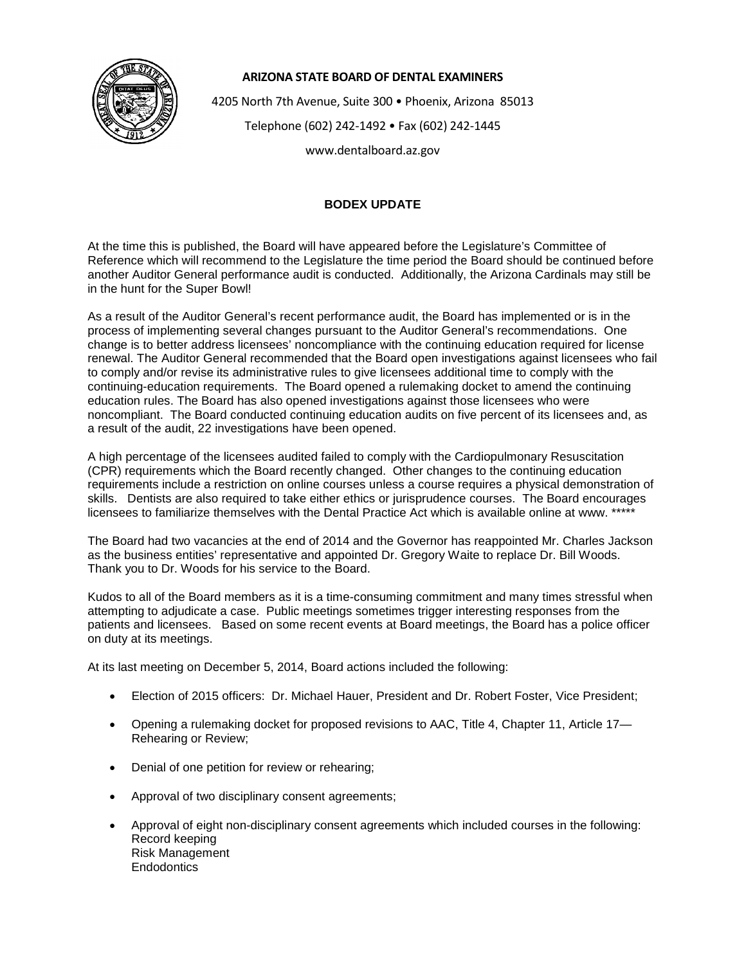

## **ARIZONA STATE BOARD OF DENTAL EXAMINERS**

4205 North 7th Avenue, Suite 300 • Phoenix, Arizona 85013

Telephone (602) 242-1492 • Fax (602) 242-1445

www.dentalboard.az.gov

## **BODEX UPDATE**

At the time this is published, the Board will have appeared before the Legislature's Committee of Reference which will recommend to the Legislature the time period the Board should be continued before another Auditor General performance audit is conducted. Additionally, the Arizona Cardinals may still be in the hunt for the Super Bowl!

As a result of the Auditor General's recent performance audit, the Board has implemented or is in the process of implementing several changes pursuant to the Auditor General's recommendations. One change is to better address licensees' noncompliance with the continuing education required for license renewal. The Auditor General recommended that the Board open investigations against licensees who fail to comply and/or revise its administrative rules to give licensees additional time to comply with the continuing-education requirements. The Board opened a rulemaking docket to amend the continuing education rules. The Board has also opened investigations against those licensees who were noncompliant. The Board conducted continuing education audits on five percent of its licensees and, as a result of the audit, 22 investigations have been opened.

A high percentage of the licensees audited failed to comply with the Cardiopulmonary Resuscitation (CPR) requirements which the Board recently changed. Other changes to the continuing education requirements include a restriction on online courses unless a course requires a physical demonstration of skills. Dentists are also required to take either ethics or jurisprudence courses. The Board encourages licensees to familiarize themselves with the Dental Practice Act which is available online at www. \*\*\*\*\*

The Board had two vacancies at the end of 2014 and the Governor has reappointed Mr. Charles Jackson as the business entities' representative and appointed Dr. Gregory Waite to replace Dr. Bill Woods. Thank you to Dr. Woods for his service to the Board.

Kudos to all of the Board members as it is a time-consuming commitment and many times stressful when attempting to adjudicate a case. Public meetings sometimes trigger interesting responses from the patients and licensees. Based on some recent events at Board meetings, the Board has a police officer on duty at its meetings.

At its last meeting on December 5, 2014, Board actions included the following:

- Election of 2015 officers: Dr. Michael Hauer, President and Dr. Robert Foster, Vice President;
- Opening a rulemaking docket for proposed revisions to AAC, Title 4, Chapter 11, Article 17— Rehearing or Review;
- Denial of one petition for review or rehearing;
- Approval of two disciplinary consent agreements;
- Approval of eight non-disciplinary consent agreements which included courses in the following: Record keeping Risk Management **Endodontics**